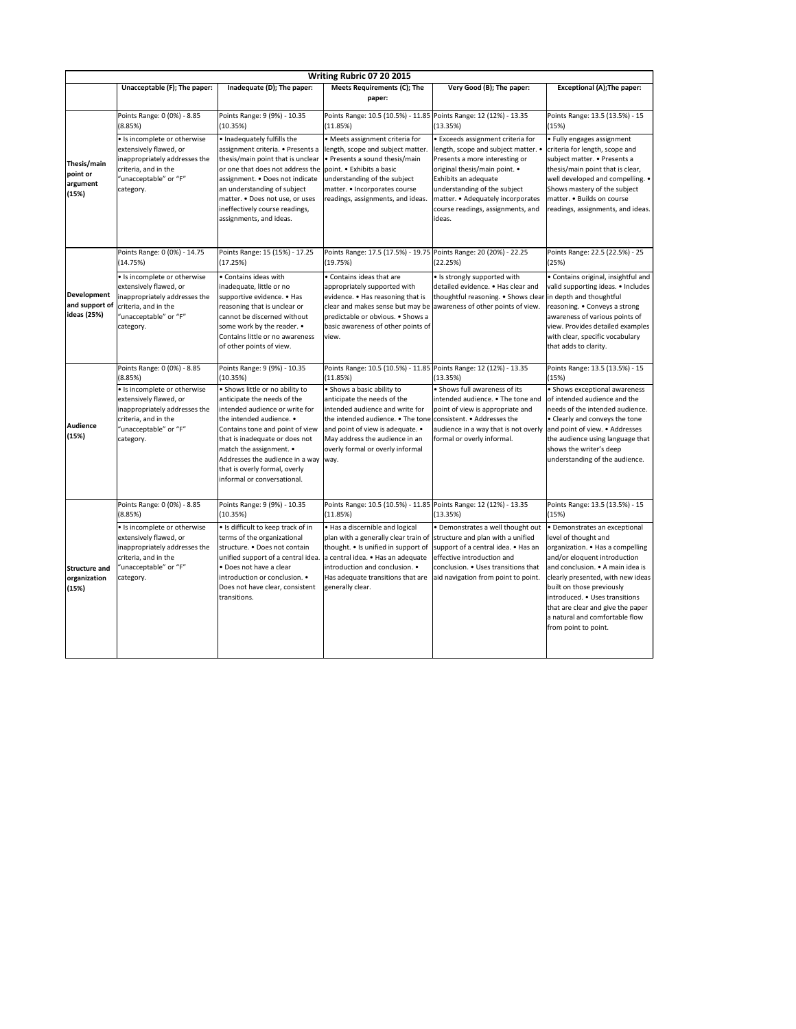|                                                     | Writing Rubric 07 20 2015                                                                                                                             |                                                                                                                                                                                                                                                                                                                                          |                                                                                                                                                                                                                                                                                                  |                                                                                                                                                                                                                                                                                         |                                                                                                                                                                                                                                                                                                                                          |  |  |  |
|-----------------------------------------------------|-------------------------------------------------------------------------------------------------------------------------------------------------------|------------------------------------------------------------------------------------------------------------------------------------------------------------------------------------------------------------------------------------------------------------------------------------------------------------------------------------------|--------------------------------------------------------------------------------------------------------------------------------------------------------------------------------------------------------------------------------------------------------------------------------------------------|-----------------------------------------------------------------------------------------------------------------------------------------------------------------------------------------------------------------------------------------------------------------------------------------|------------------------------------------------------------------------------------------------------------------------------------------------------------------------------------------------------------------------------------------------------------------------------------------------------------------------------------------|--|--|--|
|                                                     | Unacceptable (F); The paper:                                                                                                                          | Inadequate (D); The paper:                                                                                                                                                                                                                                                                                                               | <b>Meets Requirements (C); The</b><br>paper:                                                                                                                                                                                                                                                     | Very Good (B); The paper:                                                                                                                                                                                                                                                               | <b>Exceptional (A); The paper:</b>                                                                                                                                                                                                                                                                                                       |  |  |  |
|                                                     | Points Range: 0 (0%) - 8.85<br>(8.85%)                                                                                                                | Points Range: 9 (9%) - 10.35<br>(10.35%)                                                                                                                                                                                                                                                                                                 | Points Range: 10.5 (10.5%) - 11.85 Points Range: 12 (12%) - 13.35<br>(11.85%)                                                                                                                                                                                                                    | (13.35%)                                                                                                                                                                                                                                                                                | Points Range: 13.5 (13.5%) - 15<br>(15%)                                                                                                                                                                                                                                                                                                 |  |  |  |
| Thesis/main<br>point or<br>argument<br>(15%)        | • Is incomplete or otherwise<br>extensively flawed, or<br>inappropriately addresses the<br>criteria, and in the<br>"unacceptable" or "F"<br>category. | • Inadequately fulfills the<br>assignment criteria. • Presents a<br>thesis/main point that is unclear<br>or one that does not address the point. • Exhibits a basic<br>assignment. . Does not indicate<br>an understanding of subject<br>matter. . Does not use, or uses<br>ineffectively course readings,<br>assignments, and ideas.    | • Meets assignment criteria for<br>length, scope and subject matter.<br>$\cdot$ Presents a sound thesis/main<br>understanding of the subject<br>matter. • Incorporates course<br>readings, assignments, and ideas.                                                                               | • Exceeds assignment criteria for<br>length, scope and subject matter. •<br>Presents a more interesting or<br>original thesis/main point. •<br>Exhibits an adequate<br>understanding of the subject<br>matter. • Adequately incorporates<br>course readings, assignments, and<br>ideas. | • Fully engages assignment<br>criteria for length, scope and<br>subject matter. • Presents a<br>thesis/main point that is clear,<br>well developed and compelling. •<br>Shows mastery of the subject<br>matter. • Builds on course<br>readings, assignments, and ideas.                                                                  |  |  |  |
|                                                     | Points Range: 0 (0%) - 14.75<br>(14.75%)                                                                                                              | Points Range: 15 (15%) - 17.25<br>(17.25%)                                                                                                                                                                                                                                                                                               | Points Range: 17.5 (17.5%) - 19.75 Points Range: 20 (20%) - 22.25<br>(19.75%)                                                                                                                                                                                                                    | (22.25%)                                                                                                                                                                                                                                                                                | Points Range: 22.5 (22.5%) - 25<br>(25%)                                                                                                                                                                                                                                                                                                 |  |  |  |
| <b>Development</b><br>and support of<br>ideas (25%) | • Is incomplete or otherwise<br>extensively flawed, or<br>inappropriately addresses the<br>criteria, and in the<br>"unacceptable" or "F"<br>category. | • Contains ideas with<br>inadequate, little or no<br>supportive evidence. • Has<br>reasoning that is unclear or<br>cannot be discerned without<br>some work by the reader. •<br>Contains little or no awareness<br>of other points of view.                                                                                              | • Contains ideas that are<br>appropriately supported with<br>evidence. • Has reasoning that is<br>clear and makes sense but may be<br>predictable or obvious. • Shows a<br>basic awareness of other points of<br>view.                                                                           | • Is strongly supported with<br>detailed evidence. • Has clear and<br>thoughtful reasoning. • Shows clear in depth and thoughtful<br>awareness of other points of view.                                                                                                                 | • Contains original, insightful and<br>valid supporting ideas. • Includes<br>reasoning. • Conveys a strong<br>awareness of various points of<br>view. Provides detailed examples<br>with clear, specific vocabulary<br>that adds to clarity.                                                                                             |  |  |  |
|                                                     | Points Range: 0 (0%) - 8.85<br>(8.85%)                                                                                                                | Points Range: 9 (9%) - 10.35<br>(10.35%)                                                                                                                                                                                                                                                                                                 | Points Range: 10.5 (10.5%) - 11.85 Points Range: 12 (12%) - 13.35<br>(11.85%)                                                                                                                                                                                                                    | (13.35%)                                                                                                                                                                                                                                                                                | Points Range: 13.5 (13.5%) - 15<br>(15%)                                                                                                                                                                                                                                                                                                 |  |  |  |
| <b>Audience</b><br>(15%)                            | • Is incomplete or otherwise<br>extensively flawed, or<br>inappropriately addresses the<br>criteria, and in the<br>"unacceptable" or "F"<br>category. | • Shows little or no ability to<br>anticipate the needs of the<br>intended audience or write for<br>the intended audience. •<br>Contains tone and point of view<br>that is inadequate or does not<br>match the assignment. •<br>Addresses the audience in a way $ way$ .<br>that is overly formal, overly<br>informal or conversational. | • Shows a basic ability to<br>anticipate the needs of the<br>intended audience and write for<br>the intended audience. • The tone consistent. • Addresses the<br>and point of view is adequate. •<br>May address the audience in an<br>overly formal or overly informal                          | • Shows full awareness of its<br>intended audience. • The tone and<br>point of view is appropriate and<br>audience in a way that is not overly and point of view. $\bullet$ Addresses<br>formal or overly informal.                                                                     | • Shows exceptional awareness<br>of intended audience and the<br>needs of the intended audience.<br>• Clearly and conveys the tone<br>the audience using language that<br>shows the writer's deep<br>understanding of the audience.                                                                                                      |  |  |  |
|                                                     | Points Range: 0 (0%) - 8.85<br>(8.85%)                                                                                                                | Points Range: 9 (9%) - 10.35<br>(10.35%)                                                                                                                                                                                                                                                                                                 | Points Range: 10.5 (10.5%) - 11.85 Points Range: 12 (12%) - 13.35<br>(11.85%)                                                                                                                                                                                                                    | (13.35%)                                                                                                                                                                                                                                                                                | Points Range: 13.5 (13.5%) - 15<br>(15%)                                                                                                                                                                                                                                                                                                 |  |  |  |
| <b>Structure and</b><br>organization<br>(15%)       | • Is incomplete or otherwise<br>extensively flawed, or<br>inappropriately addresses the<br>criteria, and in the<br>"unacceptable" or "F"<br>category. | • Is difficult to keep track of in<br>terms of the organizational<br>structure. • Does not contain<br>unified support of a central idea.<br>• Does not have a clear<br>introduction or conclusion. •<br>Does not have clear, consistent<br>transitions.                                                                                  | $\bullet$ Has a discernible and logical<br>$ $ plan with a generally clear train of $ $ structure and plan with a unified<br>thought. • Is unified in support of<br>a central idea. • Has an adequate<br>introduction and conclusion. •<br>Has adequate transitions that are<br>generally clear. | • Demonstrates a well thought out<br>support of a central idea. • Has an<br>effective introduction and<br>conclusion. • Uses transitions that<br>aid navigation from point to point.                                                                                                    | • Demonstrates an exceptional<br>level of thought and<br>organization. • Has a compelling<br>and/or eloquent introduction<br>and conclusion. • A main idea is<br>clearly presented, with new ideas<br>built on those previously<br>introduced. • Uses transitions<br>that are clear and give the paper<br>a natural and comfortable flow |  |  |  |

|  |  |  | .<br>from point to point. |
|--|--|--|---------------------------|
|  |  |  |                           |
|  |  |  |                           |